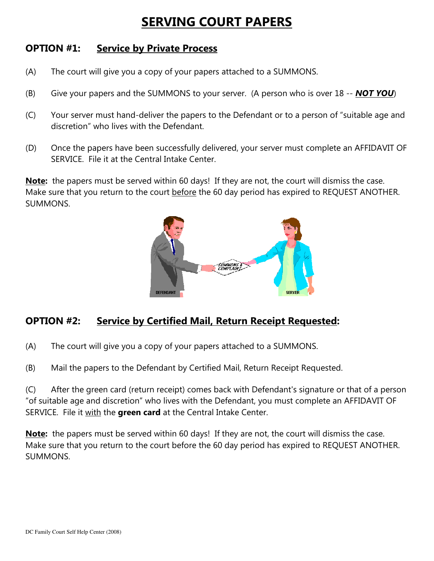## SERVING COURT PAPERS

## OPTION #1: Service by Private Process

- (A) The court will give you a copy of your papers attached to a SUMMONS.
- (B) Give your papers and the SUMMONS to your server. (A person who is over  $18 NOT YOU$ )
- (C) Your server must hand-deliver the papers to the Defendant or to a person of "suitable age and discretion" who lives with the Defendant.
- (D) Once the papers have been successfully delivered, your server must complete an AFFIDAVIT OF SERVICE. File it at the Central Intake Center.

Note: the papers must be served within 60 days! If they are not, the court will dismiss the case. Make sure that you return to the court before the 60 day period has expired to REQUEST ANOTHER. SUMMONS.



## OPTION #2: Service by Certified Mail, Return Receipt Requested:

- (A) The court will give you a copy of your papers attached to a SUMMONS.
- (B) Mail the papers to the Defendant by Certified Mail, Return Receipt Requested.

(C) After the green card (return receipt) comes back with Defendant's signature or that of a person "of suitable age and discretion" who lives with the Defendant, you must complete an AFFIDAVIT OF SERVICE. File it with the green card at the Central Intake Center.

**Note:** the papers must be served within 60 days! If they are not, the court will dismiss the case. Make sure that you return to the court before the 60 day period has expired to REQUEST ANOTHER. SUMMONS.